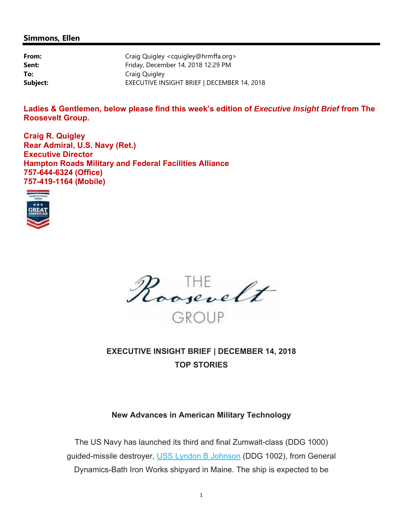# **Simmons, Ellen**

| From:    | Craig Quigley <cquigley@hrmffa.org></cquigley@hrmffa.org> |
|----------|-----------------------------------------------------------|
| Sent:    | Friday, December 14, 2018 12:29 PM                        |
| To:      | Craig Quigley                                             |
| Subject: | EXECUTIVE INSIGHT BRIEF   DECEMBER 14, 2018               |

Ladies & Gentlemen, below please find this week's edition of *Executive Insight Brief* from The **Roosevelt Group.** 

**Craig R. Quigley Rear Admiral, U.S. Navy (Ret.) Executive Director Hampton Roads Military and Federal Facilities Alliance 757-644-6324 (Office) 757-419-1164 (Mobile)** 





**EXECUTIVE INSIGHT BRIEF | DECEMBER 14, 2018 TOP STORIES**

# **New Advances in American Military Technology**

The US Navy has launched its third and final Zumwalt-class (DDG 1000) guided-missile destroyer, USS Lyndon B Johnson (DDG 1002), from General Dynamics-Bath Iron Works shipyard in Maine. The ship is expected to be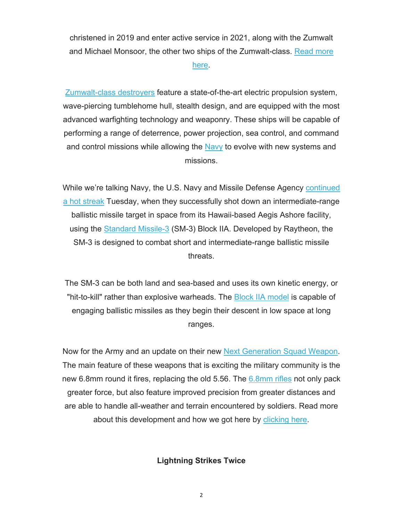christened in 2019 and enter active service in 2021, along with the Zumwalt and Michael Monsoor, the other two ships of the Zumwalt-class. Read more

# here.

Zumwalt-class destroyers feature a state-of-the-art electric propulsion system, wave-piercing tumblehome hull, stealth design, and are equipped with the most advanced warfighting technology and weaponry. These ships will be capable of performing a range of deterrence, power projection, sea control, and command and control missions while allowing the Navy to evolve with new systems and missions.

While we're talking Navy, the U.S. Navy and Missile Defense Agency continued a hot streak Tuesday, when they successfully shot down an intermediate-range ballistic missile target in space from its Hawaii-based Aegis Ashore facility, using the Standard Missile-3 (SM-3) Block IIA. Developed by Raytheon, the SM-3 is designed to combat short and intermediate-range ballistic missile threats.

The SM-3 can be both land and sea-based and uses its own kinetic energy, or "hit-to-kill" rather than explosive warheads. The Block IIA model is capable of engaging ballistic missiles as they begin their descent in low space at long ranges.

Now for the Army and an update on their new Next Generation Squad Weapon. The main feature of these weapons that is exciting the military community is the new 6.8mm round it fires, replacing the old 5.56. The  $6.8$ mm rifles not only pack greater force, but also feature improved precision from greater distances and are able to handle all-weather and terrain encountered by soldiers. Read more about this development and how we got here by clicking here.

**Lightning Strikes Twice**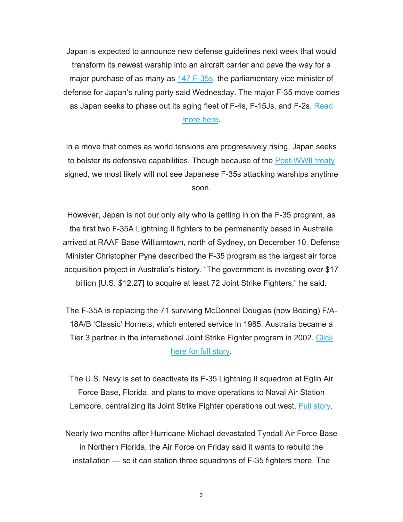Japan is expected to announce new defense guidelines next week that would transform its newest warship into an aircraft carrier and pave the way for a major purchase of as many as 147 F-35s, the parliamentary vice minister of defense for Japan's ruling party said Wednesday. The major F-35 move comes as Japan seeks to phase out its aging fleet of F-4s, F-15Js, and F-2s. Read more here.

In a move that comes as world tensions are progressively rising, Japan seeks to bolster its defensive capabilities. Though because of the Post-WWII treaty signed, we most likely will not see Japanese F-35s attacking warships anytime soon.

However, Japan is not our only ally who is getting in on the F-35 program, as the first two F-35A Lightning II fighters to be permanently based in Australia arrived at RAAF Base Williamtown, north of Sydney, on December 10. Defense Minister Christopher Pyne described the F-35 program as the largest air force acquisition project in Australia's history. "The government is investing over \$17 billion [U.S. \$12.27] to acquire at least 72 Joint Strike Fighters," he said.

The F-35A is replacing the 71 surviving McDonnel Douglas (now Boeing) F/A-18A/B 'Classic' Hornets, which entered service in 1985. Australia became a Tier 3 partner in the international Joint Strike Fighter program in 2002. Click here for full story.

The U.S. Navy is set to deactivate its F-35 Lightning II squadron at Eglin Air Force Base, Florida, and plans to move operations to Naval Air Station Lemoore, centralizing its Joint Strike Fighter operations out west. Full story.

Nearly two months after Hurricane Michael devastated Tyndall Air Force Base in Northern Florida, the Air Force on Friday said it wants to rebuild the installation — so it can station three squadrons of F-35 fighters there. The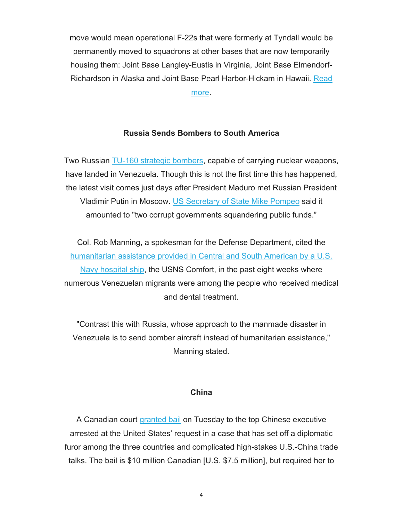move would mean operational F-22s that were formerly at Tyndall would be permanently moved to squadrons at other bases that are now temporarily housing them: Joint Base Langley-Eustis in Virginia, Joint Base Elmendorf-Richardson in Alaska and Joint Base Pearl Harbor-Hickam in Hawaii. Read more.

# **Russia Sends Bombers to South America**

Two Russian TU-160 strategic bombers, capable of carrying nuclear weapons, have landed in Venezuela. Though this is not the first time this has happened, the latest visit comes just days after President Maduro met Russian President Vladimir Putin in Moscow. US Secretary of State Mike Pompeo said it amounted to "two corrupt governments squandering public funds."

Col. Rob Manning, a spokesman for the Defense Department, cited the humanitarian assistance provided in Central and South American by a U.S. Navy hospital ship, the USNS Comfort, in the past eight weeks where numerous Venezuelan migrants were among the people who received medical and dental treatment.

"Contrast this with Russia, whose approach to the manmade disaster in Venezuela is to send bomber aircraft instead of humanitarian assistance," Manning stated.

# **China**

A Canadian court *granted bail* on Tuesday to the top Chinese executive arrested at the United States' request in a case that has set off a diplomatic furor among the three countries and complicated high-stakes U.S.-China trade talks. The bail is \$10 million Canadian [U.S. \$7.5 million], but required her to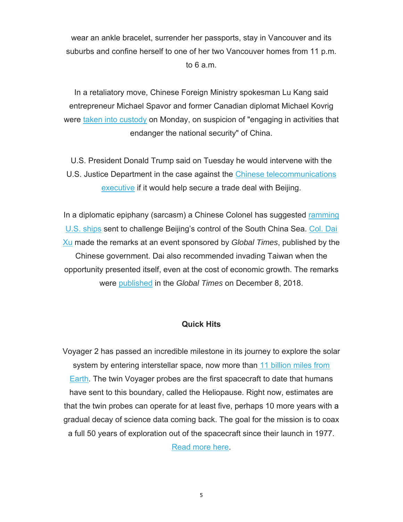wear an ankle bracelet, surrender her passports, stay in Vancouver and its suburbs and confine herself to one of her two Vancouver homes from 11 p.m. to 6 a.m.

In a retaliatory move, Chinese Foreign Ministry spokesman Lu Kang said entrepreneur Michael Spavor and former Canadian diplomat Michael Kovrig were taken into custody on Monday, on suspicion of "engaging in activities that endanger the national security" of China.

U.S. President Donald Trump said on Tuesday he would intervene with the U.S. Justice Department in the case against the Chinese telecommunications executive if it would help secure a trade deal with Beijing.

In a diplomatic epiphany (sarcasm) a Chinese Colonel has suggested ramming U.S. ships sent to challenge Beijing's control of the South China Sea. Col. Dai Xu made the remarks at an event sponsored by *Global Times*, published by the Chinese government. Dai also recommended invading Taiwan when the opportunity presented itself, even at the cost of economic growth. The remarks were published in the *Global Times* on December 8, 2018.

# **Quick Hits**

Voyager 2 has passed an incredible milestone in its journey to explore the solar system by entering interstellar space, now more than 11 billion miles from Earth. The twin Voyager probes are the first spacecraft to date that humans have sent to this boundary, called the Heliopause. Right now, estimates are that the twin probes can operate for at least five, perhaps 10 more years with a gradual decay of science data coming back. The goal for the mission is to coax a full 50 years of exploration out of the spacecraft since their launch in 1977. Read more here.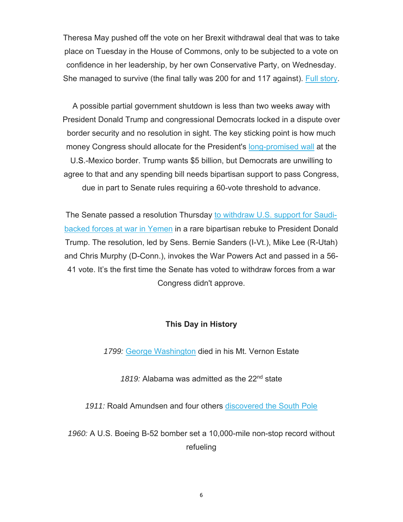Theresa May pushed off the vote on her Brexit withdrawal deal that was to take place on Tuesday in the House of Commons, only to be subjected to a vote on confidence in her leadership, by her own Conservative Party, on Wednesday. She managed to survive (the final tally was 200 for and 117 against). Full story.

A possible partial government shutdown is less than two weeks away with President Donald Trump and congressional Democrats locked in a dispute over border security and no resolution in sight. The key sticking point is how much money Congress should allocate for the President's long-promised wall at the U.S.-Mexico border. Trump wants \$5 billion, but Democrats are unwilling to agree to that and any spending bill needs bipartisan support to pass Congress, due in part to Senate rules requiring a 60-vote threshold to advance.

The Senate passed a resolution Thursday to withdraw U.S. support for Saudibacked forces at war in Yemen in a rare bipartisan rebuke to President Donald Trump. The resolution, led by Sens. Bernie Sanders (I-Vt.), Mike Lee (R-Utah) and Chris Murphy (D-Conn.), invokes the War Powers Act and passed in a 56- 41 vote. It's the first time the Senate has voted to withdraw forces from a war Congress didn't approve.

# **This Day in History**

*1799:* George Washington died in his Mt. Vernon Estate

1819: Alabama was admitted as the 22<sup>nd</sup> state

*1911:* Roald Amundsen and four others discovered the South Pole

*1960:* A U.S. Boeing B-52 bomber set a 10,000-mile non-stop record without refueling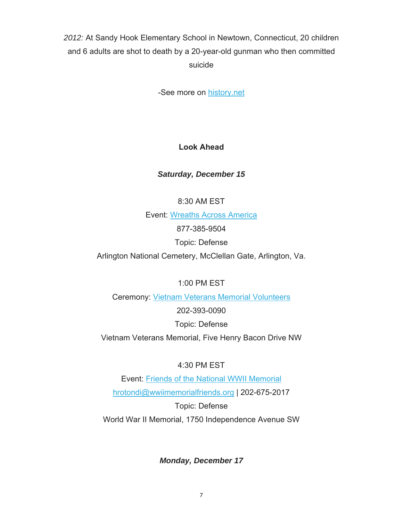# *2012:* At Sandy Hook Elementary School in Newtown, Connecticut, 20 children and 6 adults are shot to death by a 20-year-old gunman who then committed suicide

-See more on history.net

# **Look Ahead**

# *Saturday, December 15*

8:30 AM EST

Event: Wreaths Across America

877-385-9504

Topic: Defense

Arlington National Cemetery, McClellan Gate, Arlington, Va.

1:00 PM EST

Ceremony: Vietnam Veterans Memorial Volunteers

202-393-0090

Topic: Defense

Vietnam Veterans Memorial, Five Henry Bacon Drive NW

# 4:30 PM EST

Event: Friends of the National WWII Memorial hrotondi@wwiimemorialfriends.org | 202-675-2017

Topic: Defense

World War II Memorial, 1750 Independence Avenue SW

*Monday, December 17*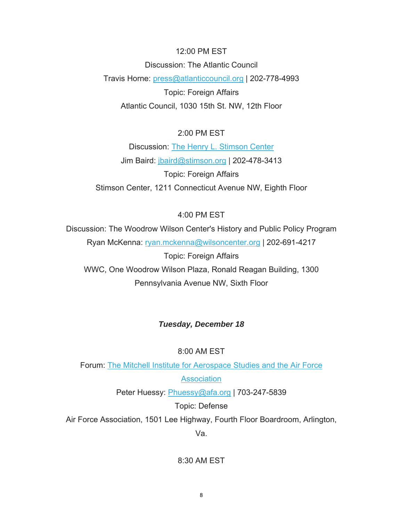#### 12:00 PM EST

Discussion: The Atlantic Council Travis Horne: press@atlanticcouncil.org | 202-778-4993 Topic: Foreign Affairs Atlantic Council, 1030 15th St. NW, 12th Floor

# 2:00 PM EST

Discussion: The Henry L. Stimson Center Jim Baird: jbaird@stimson.org | 202-478-3413 Topic: Foreign Affairs Stimson Center, 1211 Connecticut Avenue NW, Eighth Floor

# 4:00 PM EST

Discussion: The Woodrow Wilson Center's History and Public Policy Program Ryan McKenna: ryan.mckenna@wilsoncenter.org | 202-691-4217 Topic: Foreign Affairs WWC, One Woodrow Wilson Plaza, Ronald Reagan Building, 1300

Pennsylvania Avenue NW, Sixth Floor

# *Tuesday, December 18*

#### 8:00 AM EST

Forum: The Mitchell Institute for Aerospace Studies and the Air Force

# **Association**

Peter Huessy: Phuessy@afa.org | 703-247-5839

Topic: Defense

Air Force Association, 1501 Lee Highway, Fourth Floor Boardroom, Arlington,

Va.

8:30 AM EST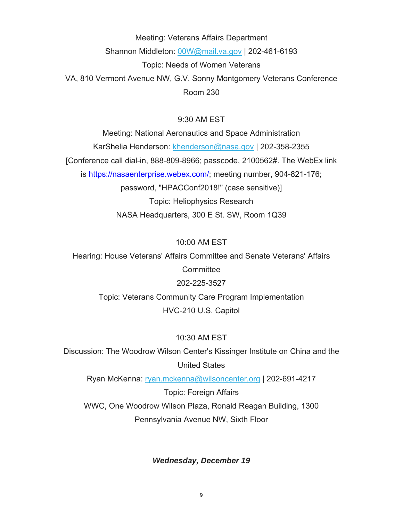Meeting: Veterans Affairs Department Shannon Middleton: 00W@mail.va.gov | 202-461-6193 Topic: Needs of Women Veterans VA, 810 Vermont Avenue NW, G.V. Sonny Montgomery Veterans Conference Room 230

# 9:30 AM EST

Meeting: National Aeronautics and Space Administration KarShelia Henderson: khenderson@nasa.gov | 202-358-2355 [Conference call dial-in, 888-809-8966; passcode, 2100562#. The WebEx link is https://nasaenterprise.webex.com/; meeting number, 904-821-176; password, "HPACConf2018!" (case sensitive)] Topic: Heliophysics Research NASA Headquarters, 300 E St. SW, Room 1Q39

# 10:00 AM EST

Hearing: House Veterans' Affairs Committee and Senate Veterans' Affairs **Committee** 202-225-3527 Topic: Veterans Community Care Program Implementation HVC-210 U.S. Capitol

# 10:30 AM EST

Discussion: The Woodrow Wilson Center's Kissinger Institute on China and the United States

Ryan McKenna: ryan.mckenna@wilsoncenter.org | 202-691-4217

Topic: Foreign Affairs WWC, One Woodrow Wilson Plaza, Ronald Reagan Building, 1300 Pennsylvania Avenue NW, Sixth Floor

# *Wednesday, December 19*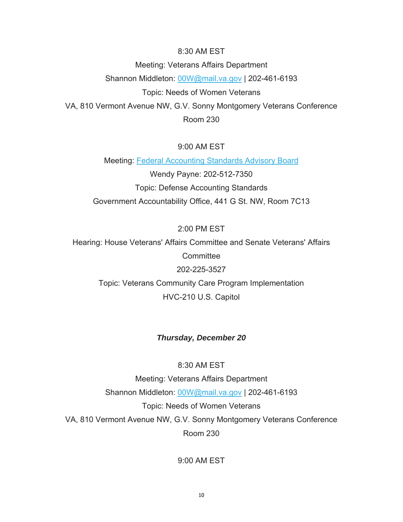#### 8:30 AM EST

Meeting: Veterans Affairs Department Shannon Middleton: 00W@mail.va.gov | 202-461-6193 Topic: Needs of Women Veterans VA, 810 Vermont Avenue NW, G.V. Sonny Montgomery Veterans Conference Room 230

# 9:00 AM EST

Meeting: Federal Accounting Standards Advisory Board Wendy Payne: 202-512-7350 Topic: Defense Accounting Standards Government Accountability Office, 441 G St. NW, Room 7C13

# 2:00 PM EST

Hearing: House Veterans' Affairs Committee and Senate Veterans' Affairs **Committee** 202-225-3527

Topic: Veterans Community Care Program Implementation HVC-210 U.S. Capitol

# *Thursday, December 20*

# 8:30 AM EST

Meeting: Veterans Affairs Department Shannon Middleton: 00W@mail.va.gov | 202-461-6193 Topic: Needs of Women Veterans VA, 810 Vermont Avenue NW, G.V. Sonny Montgomery Veterans Conference Room 230

9:00 AM EST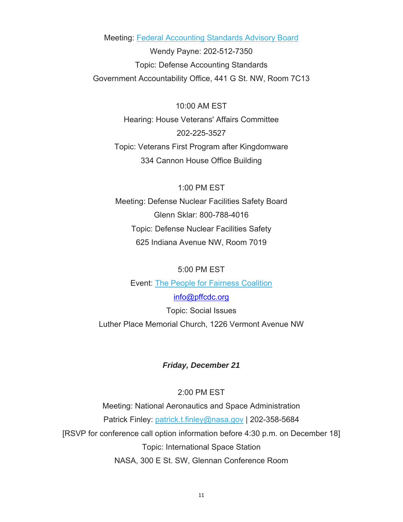Meeting: Federal Accounting Standards Advisory Board

Wendy Payne: 202-512-7350 Topic: Defense Accounting Standards Government Accountability Office, 441 G St. NW, Room 7C13

10:00 AM EST Hearing: House Veterans' Affairs Committee 202-225-3527 Topic: Veterans First Program after Kingdomware 334 Cannon House Office Building

1:00 PM EST Meeting: Defense Nuclear Facilities Safety Board Glenn Sklar: 800-788-4016 Topic: Defense Nuclear Facilities Safety 625 Indiana Avenue NW, Room 7019

5:00 PM EST

Event: The People for Fairness Coalition

info@pffcdc.org Topic: Social Issues Luther Place Memorial Church, 1226 Vermont Avenue NW

# *Friday, December 21*

2:00 PM EST

Meeting: National Aeronautics and Space Administration Patrick Finley: patrick.t.finley@nasa.gov | 202-358-5684 [RSVP for conference call option information before 4:30 p.m. on December 18] Topic: International Space Station NASA, 300 E St. SW, Glennan Conference Room